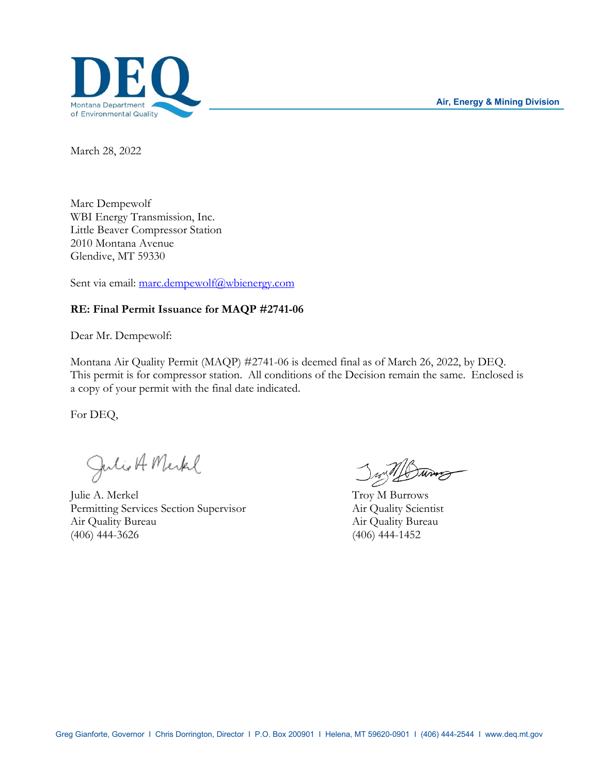**Air, Energy & Mining Division**



March 28, 2022

Marc Dempewolf WBI Energy Transmission, Inc. Little Beaver Compressor Station 2010 Montana Avenue Glendive, MT 59330

Sent via email: marc.dempewolf@wbienergy.com

# **RE: Final Permit Issuance for MAQP #2741-06**

Dear Mr. Dempewolf:

Montana Air Quality Permit (MAQP) #2741-06 is deemed final as of March 26, 2022, by DEQ. This permit is for compressor station. All conditions of the Decision remain the same. Enclosed is a copy of your permit with the final date indicated.

For DEQ,

Julie A. Merkel June 100

Permitting Services Section Supervisor Air Quality Scientist Air Quality Bureau Air Quality Bureau (406) 444-3626 (406) 444-1452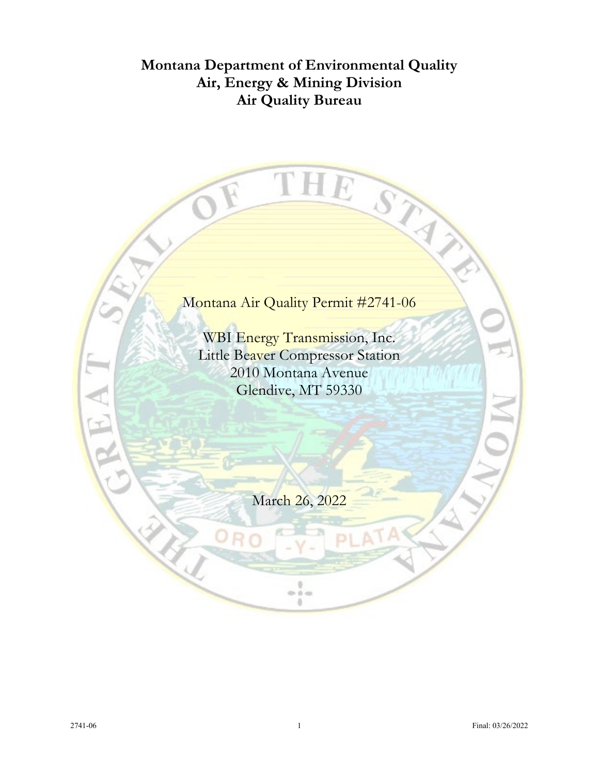# **Montana Department of Environmental Quality Air, Energy & Mining Division Air Quality Bureau**

# Montana Air Quality Permit #2741-06

u

THE STAY

WBI Energy Transmission, Inc. Little Beaver Compressor Station 2010 Montana Avenue Glendive, MT 59330

March 26, 2022

 $\frac{1}{2}$ a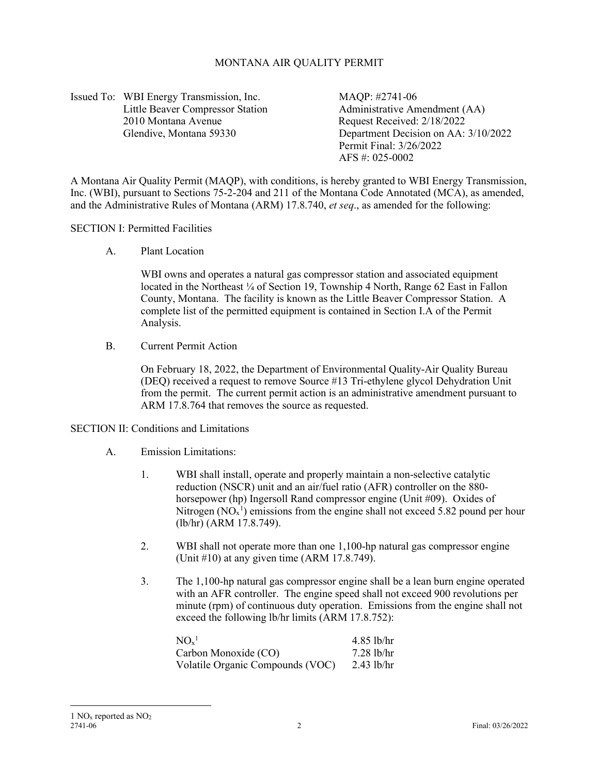# MONTANA AIR QUALITY PERMIT

Issued To: WBI Energy Transmission, Inc. MAQP: #2741-06 2010 Montana Avenue Request Received: 2/18/2022

Little Beaver Compressor Station Administrative Amendment (AA) Glendive, Montana 59330 Department Decision on AA: 3/10/2022 Permit Final: 3/26/2022 AFS #: 025-0002

A Montana Air Quality Permit (MAQP), with conditions, is hereby granted to WBI Energy Transmission, Inc. (WBI), pursuant to Sections 75-2-204 and 211 of the Montana Code Annotated (MCA), as amended, and the Administrative Rules of Montana (ARM) 17.8.740, *et seq*., as amended for the following:

#### SECTION I: Permitted Facilities

A. Plant Location

WBI owns and operates a natural gas compressor station and associated equipment located in the Northeast ¼ of Section 19, Township 4 North, Range 62 East in Fallon County, Montana. The facility is known as the Little Beaver Compressor Station. A complete list of the permitted equipment is contained in Section I.A of the Permit Analysis.

B. Current Permit Action

On February 18, 2022, the Department of Environmental Quality-Air Quality Bureau (DEQ) received a request to remove Source #13 Tri-ethylene glycol Dehydration Unit from the permit. The current permit action is an administrative amendment pursuant to ARM 17.8.764 that removes the source as requested.

#### SECTION II: Conditions and Limitations

#### A. Emission Limitations:

- 1. WBI shall install, operate and properly maintain a non-selective catalytic reduction (NSCR) unit and an air/fuel ratio (AFR) controller on the 880 horsepower (hp) Ingersoll Rand compressor engine (Unit #09). Oxides of Nitrogen  $(NO<sub>x</sub><sup>1</sup>)$  $(NO<sub>x</sub><sup>1</sup>)$  $(NO<sub>x</sub><sup>1</sup>)$  emissions from the engine shall not exceed 5.82 pound per hour (lb/hr) (ARM 17.8.749).
- 2. WBI shall not operate more than one 1,100-hp natural gas compressor engine (Unit #10) at any given time (ARM 17.8.749).
- 3. The 1,100-hp natural gas compressor engine shall be a lean burn engine operated with an AFR controller. The engine speed shall not exceed 900 revolutions per minute (rpm) of continuous duty operation. Emissions from the engine shall not exceed the following lb/hr limits (ARM 17.8.752):

<span id="page-2-0"></span>

| NO <sub>x</sub> <sup>1</sup>     | $4.85$ lb/hr |
|----------------------------------|--------------|
| Carbon Monoxide (CO)             | $7.28$ lb/hr |
| Volatile Organic Compounds (VOC) | $2.43$ lb/hr |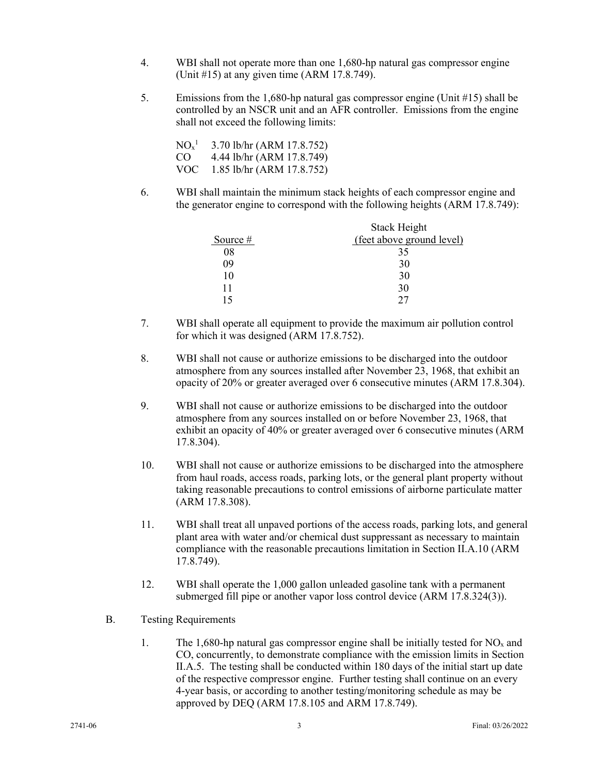- 4. WBI shall not operate more than one 1,680-hp natural gas compressor engine (Unit #15) at any given time (ARM 17.8.749).
- <span id="page-3-1"></span>5. Emissions from the 1,680-hp natural gas compressor engine (Unit #15) shall be controlled by an NSCR unit and an AFR controller. Emissions from the engine shall not exceed the following limits:

 $\rm NO_x^{-1}$  3.70 lb/hr (ARM 17.8.752) CO 4.44 lb/hr (ARM 17.8.749) VOC 1.85 lb/hr (ARM 17.8.752)

6. WBI shall maintain the minimum stack heights of each compressor engine and the generator engine to correspond with the following heights (ARM 17.8.749):

|          | <b>Stack Height</b>       |
|----------|---------------------------|
| Source # | (feet above ground level) |
| 08       | 35                        |
| 09       | 30                        |
| 10       | 30                        |
|          | 30                        |
|          | າາ                        |

- 7. WBI shall operate all equipment to provide the maximum air pollution control for which it was designed (ARM 17.8.752).
- 8. WBI shall not cause or authorize emissions to be discharged into the outdoor atmosphere from any sources installed after November 23, 1968, that exhibit an opacity of 20% or greater averaged over 6 consecutive minutes (ARM 17.8.304).
- 9. WBI shall not cause or authorize emissions to be discharged into the outdoor atmosphere from any sources installed on or before November 23, 1968, that exhibit an opacity of 40% or greater averaged over 6 consecutive minutes (ARM 17.8.304).
- <span id="page-3-0"></span>10. WBI shall not cause or authorize emissions to be discharged into the atmosphere from haul roads, access roads, parking lots, or the general plant property without taking reasonable precautions to control emissions of airborne particulate matter (ARM 17.8.308).
- 11. WBI shall treat all unpaved portions of the access roads, parking lots, and general plant area with water and/or chemical dust suppressant as necessary to maintain compliance with the reasonable precautions limitation in Section II.A[.10](#page-3-0) (ARM 17.8.749).
- 12. WBI shall operate the 1,000 gallon unleaded gasoline tank with a permanent submerged fill pipe or another vapor loss control device (ARM 17.8.324(3)).
- B. Testing Requirements
	- 1. The 1,680-hp natural gas compressor engine shall be initially tested for  $NO_x$  and CO, concurrently, to demonstrate compliance with the emission limits in Section II.A[.5.](#page-3-1) The testing shall be conducted within 180 days of the initial start up date of the respective compressor engine. Further testing shall continue on an every 4-year basis, or according to another testing/monitoring schedule as may be approved by DEQ (ARM 17.8.105 and ARM 17.8.749).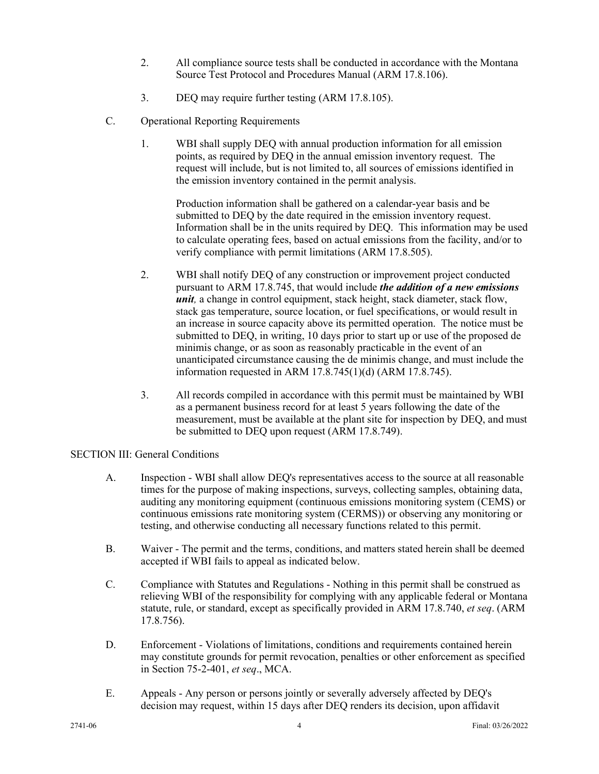- 2. All compliance source tests shall be conducted in accordance with the Montana Source Test Protocol and Procedures Manual (ARM 17.8.106).
- 3. DEQ may require further testing (ARM 17.8.105).
- C. Operational Reporting Requirements
	- 1. WBI shall supply DEQ with annual production information for all emission points, as required by DEQ in the annual emission inventory request. The request will include, but is not limited to, all sources of emissions identified in the emission inventory contained in the permit analysis.

Production information shall be gathered on a calendar-year basis and be submitted to DEQ by the date required in the emission inventory request. Information shall be in the units required by DEQ. This information may be used to calculate operating fees, based on actual emissions from the facility, and/or to verify compliance with permit limitations (ARM 17.8.505).

- 2. WBI shall notify DEQ of any construction or improvement project conducted pursuant to ARM 17.8.745, that would include *the addition of a new emissions unit*, a change in control equipment, stack height, stack diameter, stack flow, stack gas temperature, source location, or fuel specifications, or would result in an increase in source capacity above its permitted operation. The notice must be submitted to DEQ, in writing, 10 days prior to start up or use of the proposed de minimis change, or as soon as reasonably practicable in the event of an unanticipated circumstance causing the de minimis change, and must include the information requested in ARM 17.8.745(1)(d) (ARM 17.8.745).
- 3. All records compiled in accordance with this permit must be maintained by WBI as a permanent business record for at least 5 years following the date of the measurement, must be available at the plant site for inspection by DEQ, and must be submitted to DEQ upon request (ARM 17.8.749).

## SECTION III: General Conditions

- A. Inspection WBI shall allow DEQ's representatives access to the source at all reasonable times for the purpose of making inspections, surveys, collecting samples, obtaining data, auditing any monitoring equipment (continuous emissions monitoring system (CEMS) or continuous emissions rate monitoring system (CERMS)) or observing any monitoring or testing, and otherwise conducting all necessary functions related to this permit.
- B. Waiver The permit and the terms, conditions, and matters stated herein shall be deemed accepted if WBI fails to appeal as indicated below.
- C. Compliance with Statutes and Regulations Nothing in this permit shall be construed as relieving WBI of the responsibility for complying with any applicable federal or Montana statute, rule, or standard, except as specifically provided in ARM 17.8.740, *et seq*. (ARM 17.8.756).
- D. Enforcement Violations of limitations, conditions and requirements contained herein may constitute grounds for permit revocation, penalties or other enforcement as specified in Section 75-2-401, *et seq*., MCA.
- E. Appeals Any person or persons jointly or severally adversely affected by DEQ's decision may request, within 15 days after DEQ renders its decision, upon affidavit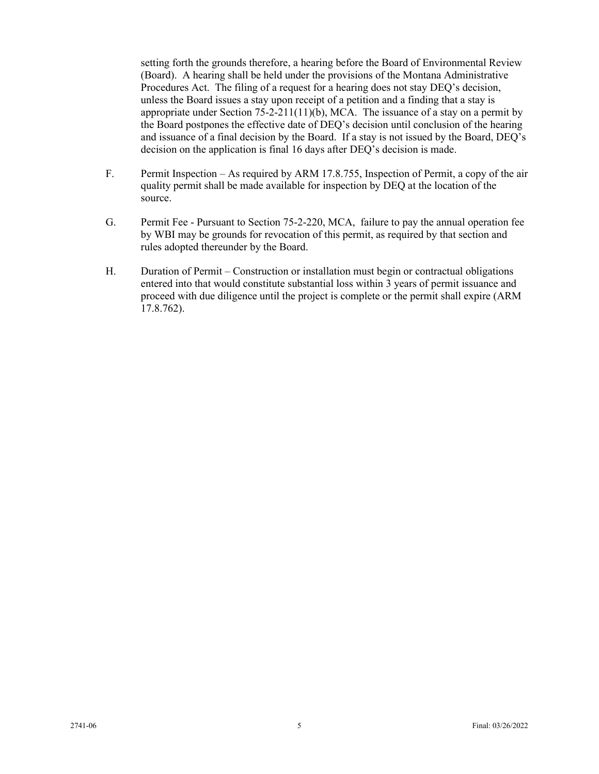setting forth the grounds therefore, a hearing before the Board of Environmental Review (Board). A hearing shall be held under the provisions of the Montana Administrative Procedures Act. The filing of a request for a hearing does not stay DEQ's decision, unless the Board issues a stay upon receipt of a petition and a finding that a stay is appropriate under Section 75-2-211(11)(b), MCA. The issuance of a stay on a permit by the Board postpones the effective date of DEQ's decision until conclusion of the hearing and issuance of a final decision by the Board. If a stay is not issued by the Board, DEQ's decision on the application is final 16 days after DEQ's decision is made.

- F. Permit Inspection As required by ARM 17.8.755, Inspection of Permit, a copy of the air quality permit shall be made available for inspection by DEQ at the location of the source.
- G. Permit Fee Pursuant to Section 75-2-220, MCA, failure to pay the annual operation fee by WBI may be grounds for revocation of this permit, as required by that section and rules adopted thereunder by the Board.
- H. Duration of Permit Construction or installation must begin or contractual obligations entered into that would constitute substantial loss within 3 years of permit issuance and proceed with due diligence until the project is complete or the permit shall expire (ARM 17.8.762).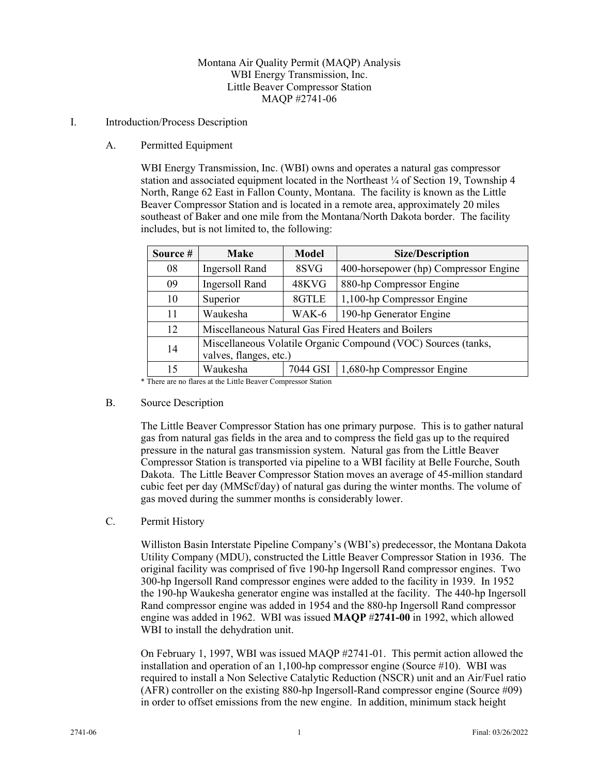# Montana Air Quality Permit (MAQP) Analysis WBI Energy Transmission, Inc. Little Beaver Compressor Station MAQP #2741-06

### I. Introduction/Process Description

A. Permitted Equipment

WBI Energy Transmission, Inc. (WBI) owns and operates a natural gas compressor station and associated equipment located in the Northeast  $\frac{1}{4}$  of Section 19, Township 4 North, Range 62 East in Fallon County, Montana. The facility is known as the Little Beaver Compressor Station and is located in a remote area, approximately 20 miles southeast of Baker and one mile from the Montana/North Dakota border. The facility includes, but is not limited to, the following:

| Source #                                                                                      | <b>Make</b>                                                                   | <b>Model</b> | <b>Size/Description</b>               |
|-----------------------------------------------------------------------------------------------|-------------------------------------------------------------------------------|--------------|---------------------------------------|
| 08                                                                                            | Ingersoll Rand                                                                | 8SVG         | 400-horsepower (hp) Compressor Engine |
| 09                                                                                            | Ingersoll Rand                                                                | 48KVG        | 880-hp Compressor Engine              |
| 10                                                                                            | Superior                                                                      | 8GTLE        | 1,100-hp Compressor Engine            |
| 11                                                                                            | Waukesha                                                                      | WAK-6        | 190-hp Generator Engine               |
| 12                                                                                            | Miscellaneous Natural Gas Fired Heaters and Boilers                           |              |                                       |
| Miscellaneous Volatile Organic Compound (VOC) Sources (tanks,<br>14<br>valves, flanges, etc.) |                                                                               |              |                                       |
| 15                                                                                            | Waukesha<br>$\mathbf{r}$ . The $\mathbf{r}$ and $\mathbf{r}$ and $\mathbf{r}$ | 7044 GSI     | 1,680-hp Compressor Engine            |

\* There are no flares at the Little Beaver Compressor Station

#### B. Source Description

The Little Beaver Compressor Station has one primary purpose. This is to gather natural gas from natural gas fields in the area and to compress the field gas up to the required pressure in the natural gas transmission system. Natural gas from the Little Beaver Compressor Station is transported via pipeline to a WBI facility at Belle Fourche, South Dakota. The Little Beaver Compressor Station moves an average of 45-million standard cubic feet per day (MMScf/day) of natural gas during the winter months. The volume of gas moved during the summer months is considerably lower.

## C. Permit History

Williston Basin Interstate Pipeline Company's (WBI's) predecessor, the Montana Dakota Utility Company (MDU), constructed the Little Beaver Compressor Station in 1936. The original facility was comprised of five 190-hp Ingersoll Rand compressor engines. Two 300-hp Ingersoll Rand compressor engines were added to the facility in 1939. In 1952 the 190-hp Waukesha generator engine was installed at the facility. The 440-hp Ingersoll Rand compressor engine was added in 1954 and the 880-hp Ingersoll Rand compressor engine was added in 1962. WBI was issued **MAQP** #**2741-00** in 1992, which allowed WBI to install the dehydration unit.

On February 1, 1997, WBI was issued MAQP #2741-01. This permit action allowed the installation and operation of an 1,100-hp compressor engine (Source #10). WBI was required to install a Non Selective Catalytic Reduction (NSCR) unit and an Air/Fuel ratio (AFR) controller on the existing 880-hp Ingersoll-Rand compressor engine (Source  $\#09$ ) in order to offset emissions from the new engine. In addition, minimum stack height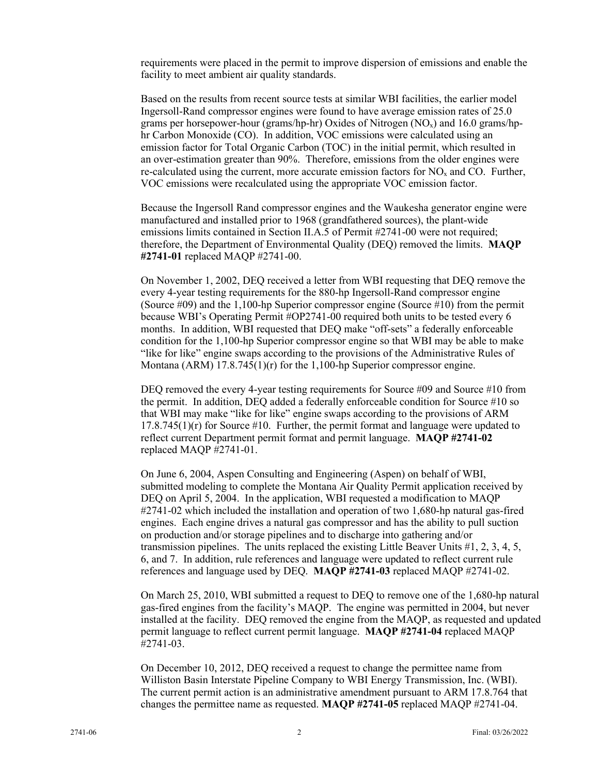requirements were placed in the permit to improve dispersion of emissions and enable the facility to meet ambient air quality standards.

Based on the results from recent source tests at similar WBI facilities, the earlier model Ingersoll-Rand compressor engines were found to have average emission rates of 25.0 grams per horsepower-hour (grams/hp-hr) Oxides of Nitrogen  $(NO_x)$  and 16.0 grams/hphr Carbon Monoxide (CO). In addition, VOC emissions were calculated using an emission factor for Total Organic Carbon (TOC) in the initial permit, which resulted in an over-estimation greater than 90%. Therefore, emissions from the older engines were re-calculated using the current, more accurate emission factors for  $NO<sub>x</sub>$  and CO. Further, VOC emissions were recalculated using the appropriate VOC emission factor.

Because the Ingersoll Rand compressor engines and the Waukesha generator engine were manufactured and installed prior to 1968 (grandfathered sources), the plant-wide emissions limits contained in Section II.A.5 of Permit #2741-00 were not required; therefore, the Department of Environmental Quality (DEQ) removed the limits. **MAQP #2741-01** replaced MAQP #2741-00.

On November 1, 2002, DEQ received a letter from WBI requesting that DEQ remove the every 4-year testing requirements for the 880-hp Ingersoll-Rand compressor engine (Source #09) and the 1,100-hp Superior compressor engine (Source #10) from the permit because WBI's Operating Permit #OP2741-00 required both units to be tested every 6 months. In addition, WBI requested that DEQ make "off-sets" a federally enforceable condition for the 1,100-hp Superior compressor engine so that WBI may be able to make "like for like" engine swaps according to the provisions of the Administrative Rules of Montana (ARM) 17.8.745(1)(r) for the 1,100-hp Superior compressor engine.

DEQ removed the every 4-year testing requirements for Source #09 and Source #10 from the permit. In addition, DEQ added a federally enforceable condition for Source #10 so that WBI may make "like for like" engine swaps according to the provisions of ARM  $17.8.745(1)$ (r) for Source #10. Further, the permit format and language were updated to reflect current Department permit format and permit language. **MAQP #2741-02** replaced MAQP #2741-01.

On June 6, 2004, Aspen Consulting and Engineering (Aspen) on behalf of WBI, submitted modeling to complete the Montana Air Quality Permit application received by DEQ on April 5, 2004. In the application, WBI requested a modification to MAQP #2741-02 which included the installation and operation of two 1,680-hp natural gas-fired engines. Each engine drives a natural gas compressor and has the ability to pull suction on production and/or storage pipelines and to discharge into gathering and/or transmission pipelines. The units replaced the existing Little Beaver Units #1, 2, 3, 4, 5, 6, and 7. In addition, rule references and language were updated to reflect current rule references and language used by DEQ. **MAQP #2741-03** replaced MAQP #2741-02.

On March 25, 2010, WBI submitted a request to DEQ to remove one of the 1,680-hp natural gas-fired engines from the facility's MAQP. The engine was permitted in 2004, but never installed at the facility. DEQ removed the engine from the MAQP, as requested and updated permit language to reflect current permit language. **MAQP #2741-04** replaced MAQP #2741-03.

On December 10, 2012, DEQ received a request to change the permittee name from Williston Basin Interstate Pipeline Company to WBI Energy Transmission, Inc. (WBI). The current permit action is an administrative amendment pursuant to ARM 17.8.764 that changes the permittee name as requested. **MAQP #2741-05** replaced MAQP #2741-04.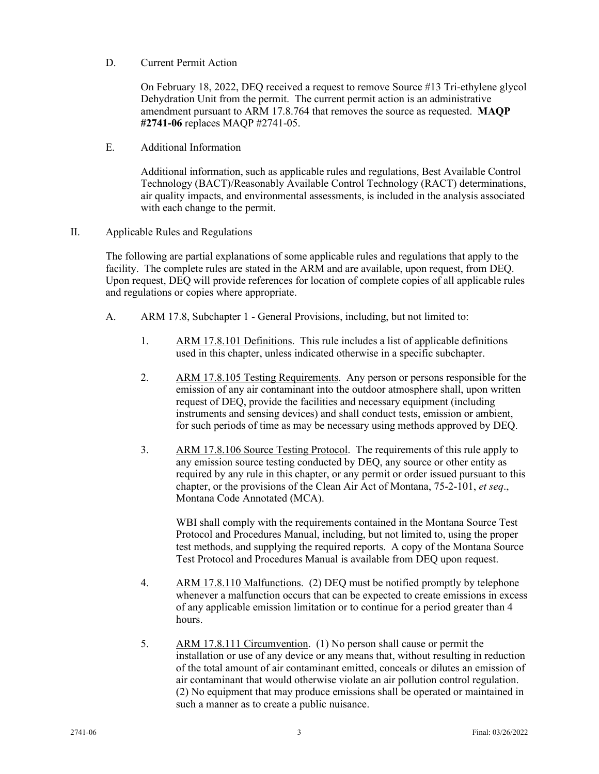D. Current Permit Action

On February 18, 2022, DEQ received a request to remove Source #13 Tri-ethylene glycol Dehydration Unit from the permit. The current permit action is an administrative amendment pursuant to ARM 17.8.764 that removes the source as requested. **MAQP #2741-06** replaces MAQP #2741-05.

E. Additional Information

Additional information, such as applicable rules and regulations, Best Available Control Technology (BACT)/Reasonably Available Control Technology (RACT) determinations, air quality impacts, and environmental assessments, is included in the analysis associated with each change to the permit.

II. Applicable Rules and Regulations

The following are partial explanations of some applicable rules and regulations that apply to the facility. The complete rules are stated in the ARM and are available, upon request, from DEQ. Upon request, DEQ will provide references for location of complete copies of all applicable rules and regulations or copies where appropriate.

- A. ARM 17.8, Subchapter 1 General Provisions, including, but not limited to:
	- 1. ARM 17.8.101 Definitions. This rule includes a list of applicable definitions used in this chapter, unless indicated otherwise in a specific subchapter.
	- 2. ARM 17.8.105 Testing Requirements. Any person or persons responsible for the emission of any air contaminant into the outdoor atmosphere shall, upon written request of DEQ, provide the facilities and necessary equipment (including instruments and sensing devices) and shall conduct tests, emission or ambient, for such periods of time as may be necessary using methods approved by DEQ.
	- 3. ARM 17.8.106 Source Testing Protocol. The requirements of this rule apply to any emission source testing conducted by DEQ, any source or other entity as required by any rule in this chapter, or any permit or order issued pursuant to this chapter, or the provisions of the Clean Air Act of Montana, 75-2-101, *et seq*., Montana Code Annotated (MCA).

WBI shall comply with the requirements contained in the Montana Source Test Protocol and Procedures Manual, including, but not limited to, using the proper test methods, and supplying the required reports. A copy of the Montana Source Test Protocol and Procedures Manual is available from DEQ upon request.

- 4. ARM 17.8.110 Malfunctions. (2) DEQ must be notified promptly by telephone whenever a malfunction occurs that can be expected to create emissions in excess of any applicable emission limitation or to continue for a period greater than 4 hours.
- 5. ARM 17.8.111 Circumvention. (1) No person shall cause or permit the installation or use of any device or any means that, without resulting in reduction of the total amount of air contaminant emitted, conceals or dilutes an emission of air contaminant that would otherwise violate an air pollution control regulation. (2) No equipment that may produce emissions shall be operated or maintained in such a manner as to create a public nuisance.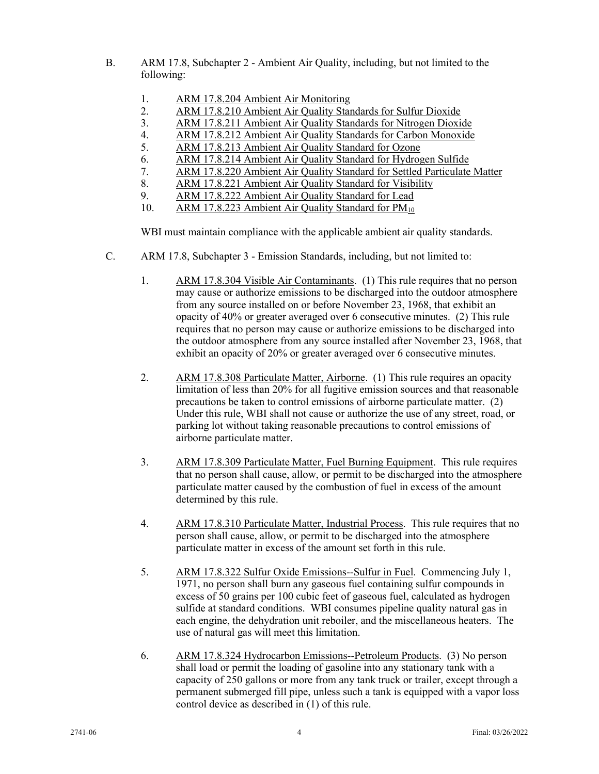- B. ARM 17.8, Subchapter 2 Ambient Air Quality, including, but not limited to the following:
	- 1. ARM 17.8.204 Ambient Air Monitoring<br>2. ARM 17.8.210 Ambient Air Quality Star
	- 2. ARM 17.8.210 Ambient Air Quality Standards for Sulfur Dioxide
	- 3. ARM 17.8.211 Ambient Air Quality Standards for Nitrogen Dioxide<br>4. ARM 17.8.212 Ambient Air Quality Standards for Carbon Monoxide
	- 4. ARM 17.8.212 Ambient Air Quality Standards for Carbon Monoxide
	- 5. ARM 17.8.213 Ambient Air Quality Standard for Ozone
	- 6. ARM 17.8.214 Ambient Air Quality Standard for Hydrogen Sulfide
	- 7. ARM 17.8.220 Ambient Air Quality Standard for Settled Particulate Matter ARM 17.8.221 Ambient Air Quality Standard for Visibility
	- ARM 17.8.221 Ambient Air Quality Standard for Visibility
	- 9. ARM 17.8.222 Ambient Air Quality Standard for Lead
	- 10. ARM 17.8.223 Ambient Air Quality Standard for PM<sub>10</sub>

WBI must maintain compliance with the applicable ambient air quality standards.

- C. ARM 17.8, Subchapter 3 Emission Standards, including, but not limited to:
	- 1. ARM 17.8.304 Visible Air Contaminants. (1) This rule requires that no person may cause or authorize emissions to be discharged into the outdoor atmosphere from any source installed on or before November 23, 1968, that exhibit an opacity of 40% or greater averaged over 6 consecutive minutes. (2) This rule requires that no person may cause or authorize emissions to be discharged into the outdoor atmosphere from any source installed after November 23, 1968, that exhibit an opacity of 20% or greater averaged over 6 consecutive minutes.
	- 2. ARM 17.8.308 Particulate Matter, Airborne. (1) This rule requires an opacity limitation of less than 20% for all fugitive emission sources and that reasonable precautions be taken to control emissions of airborne particulate matter. (2) Under this rule, WBI shall not cause or authorize the use of any street, road, or parking lot without taking reasonable precautions to control emissions of airborne particulate matter.
	- 3. ARM 17.8.309 Particulate Matter, Fuel Burning Equipment. This rule requires that no person shall cause, allow, or permit to be discharged into the atmosphere particulate matter caused by the combustion of fuel in excess of the amount determined by this rule.
	- 4. ARM 17.8.310 Particulate Matter, Industrial Process. This rule requires that no person shall cause, allow, or permit to be discharged into the atmosphere particulate matter in excess of the amount set forth in this rule.
	- 5. ARM 17.8.322 Sulfur Oxide Emissions--Sulfur in Fuel. Commencing July 1, 1971, no person shall burn any gaseous fuel containing sulfur compounds in excess of 50 grains per 100 cubic feet of gaseous fuel, calculated as hydrogen sulfide at standard conditions. WBI consumes pipeline quality natural gas in each engine, the dehydration unit reboiler, and the miscellaneous heaters. The use of natural gas will meet this limitation.
	- 6. ARM 17.8.324 Hydrocarbon Emissions--Petroleum Products. (3) No person shall load or permit the loading of gasoline into any stationary tank with a capacity of 250 gallons or more from any tank truck or trailer, except through a permanent submerged fill pipe, unless such a tank is equipped with a vapor loss control device as described in (1) of this rule.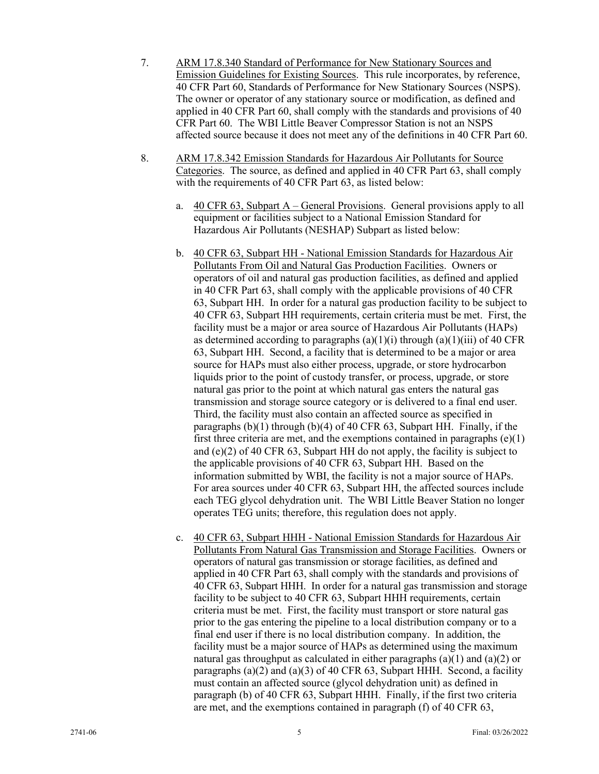- 7. ARM 17.8.340 Standard of Performance for New Stationary Sources and Emission Guidelines for Existing Sources. This rule incorporates, by reference, 40 CFR Part 60, Standards of Performance for New Stationary Sources (NSPS). The owner or operator of any stationary source or modification, as defined and applied in 40 CFR Part 60, shall comply with the standards and provisions of 40 CFR Part 60. The WBI Little Beaver Compressor Station is not an NSPS affected source because it does not meet any of the definitions in 40 CFR Part 60.
- 8. ARM 17.8.342 Emission Standards for Hazardous Air Pollutants for Source Categories. The source, as defined and applied in 40 CFR Part 63, shall comply with the requirements of 40 CFR Part 63, as listed below:
	- a. 40 CFR 63, Subpart A General Provisions. General provisions apply to all equipment or facilities subject to a National Emission Standard for Hazardous Air Pollutants (NESHAP) Subpart as listed below:
	- b. 40 CFR 63, Subpart HH National Emission Standards for Hazardous Air Pollutants From Oil and Natural Gas Production Facilities. Owners or operators of oil and natural gas production facilities, as defined and applied in 40 CFR Part 63, shall comply with the applicable provisions of 40 CFR 63, Subpart HH. In order for a natural gas production facility to be subject to 40 CFR 63, Subpart HH requirements, certain criteria must be met. First, the facility must be a major or area source of Hazardous Air Pollutants (HAPs) as determined according to paragraphs  $(a)(1)(i)$  through  $(a)(1)(iii)$  of 40 CFR 63, Subpart HH. Second, a facility that is determined to be a major or area source for HAPs must also either process, upgrade, or store hydrocarbon liquids prior to the point of custody transfer, or process, upgrade, or store natural gas prior to the point at which natural gas enters the natural gas transmission and storage source category or is delivered to a final end user. Third, the facility must also contain an affected source as specified in paragraphs  $(b)(1)$  through  $(b)(4)$  of 40 CFR 63, Subpart HH. Finally, if the first three criteria are met, and the exemptions contained in paragraphs  $(e)(1)$ and (e)(2) of 40 CFR 63, Subpart HH do not apply, the facility is subject to the applicable provisions of 40 CFR 63, Subpart HH. Based on the information submitted by WBI, the facility is not a major source of HAPs. For area sources under 40 CFR 63, Subpart HH, the affected sources include each TEG glycol dehydration unit. The WBI Little Beaver Station no longer operates TEG units; therefore, this regulation does not apply.
	- c. 40 CFR 63, Subpart HHH National Emission Standards for Hazardous Air Pollutants From Natural Gas Transmission and Storage Facilities. Owners or operators of natural gas transmission or storage facilities, as defined and applied in 40 CFR Part 63, shall comply with the standards and provisions of 40 CFR 63, Subpart HHH. In order for a natural gas transmission and storage facility to be subject to 40 CFR 63, Subpart HHH requirements, certain criteria must be met. First, the facility must transport or store natural gas prior to the gas entering the pipeline to a local distribution company or to a final end user if there is no local distribution company. In addition, the facility must be a major source of HAPs as determined using the maximum natural gas throughput as calculated in either paragraphs  $(a)(1)$  and  $(a)(2)$  or paragraphs (a)(2) and (a)(3) of 40 CFR 63, Subpart HHH. Second, a facility must contain an affected source (glycol dehydration unit) as defined in paragraph (b) of 40 CFR 63, Subpart HHH. Finally, if the first two criteria are met, and the exemptions contained in paragraph (f) of 40 CFR 63,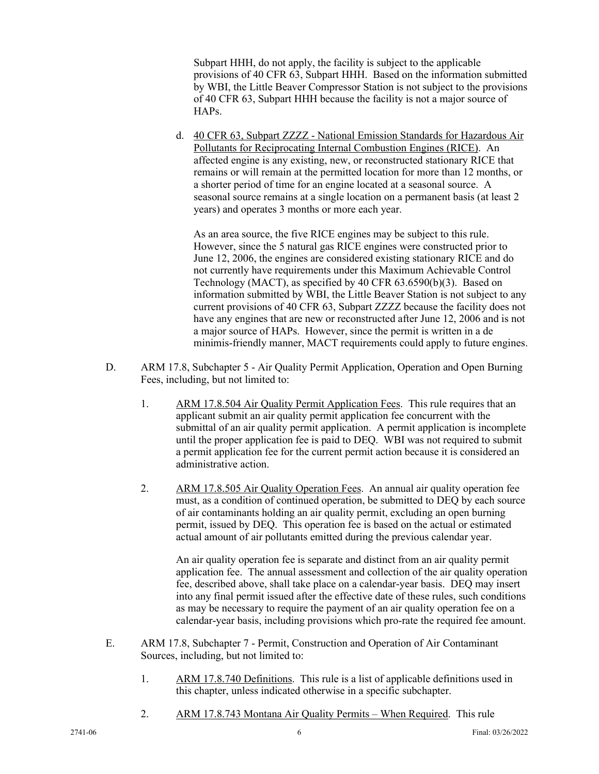Subpart HHH, do not apply, the facility is subject to the applicable provisions of 40 CFR 63, Subpart HHH. Based on the information submitted by WBI, the Little Beaver Compressor Station is not subject to the provisions of 40 CFR 63, Subpart HHH because the facility is not a major source of HAPs.

d. 40 CFR 63, Subpart ZZZZ - National Emission Standards for Hazardous Air Pollutants for Reciprocating Internal Combustion Engines (RICE). An affected engine is any existing, new, or reconstructed stationary RICE that remains or will remain at the permitted location for more than 12 months, or a shorter period of time for an engine located at a seasonal source. A seasonal source remains at a single location on a permanent basis (at least 2 years) and operates 3 months or more each year.

As an area source, the five RICE engines may be subject to this rule. However, since the 5 natural gas RICE engines were constructed prior to June 12, 2006, the engines are considered existing stationary RICE and do not currently have requirements under this Maximum Achievable Control Technology (MACT), as specified by 40 CFR 63.6590(b)(3). Based on information submitted by WBI, the Little Beaver Station is not subject to any current provisions of 40 CFR 63, Subpart ZZZZ because the facility does not have any engines that are new or reconstructed after June 12, 2006 and is not a major source of HAPs. However, since the permit is written in a de minimis-friendly manner, MACT requirements could apply to future engines.

- D. ARM 17.8, Subchapter 5 Air Quality Permit Application, Operation and Open Burning Fees, including, but not limited to:
	- 1. ARM 17.8.504 Air Quality Permit Application Fees. This rule requires that an applicant submit an air quality permit application fee concurrent with the submittal of an air quality permit application. A permit application is incomplete until the proper application fee is paid to DEQ. WBI was not required to submit a permit application fee for the current permit action because it is considered an administrative action.
	- 2. ARM 17.8.505 Air Quality Operation Fees. An annual air quality operation fee must, as a condition of continued operation, be submitted to DEQ by each source of air contaminants holding an air quality permit, excluding an open burning permit, issued by DEQ. This operation fee is based on the actual or estimated actual amount of air pollutants emitted during the previous calendar year.

An air quality operation fee is separate and distinct from an air quality permit application fee. The annual assessment and collection of the air quality operation fee, described above, shall take place on a calendar-year basis. DEQ may insert into any final permit issued after the effective date of these rules, such conditions as may be necessary to require the payment of an air quality operation fee on a calendar-year basis, including provisions which pro-rate the required fee amount.

- E. ARM 17.8, Subchapter 7 Permit, Construction and Operation of Air Contaminant Sources, including, but not limited to:
	- 1. ARM 17.8.740 Definitions. This rule is a list of applicable definitions used in this chapter, unless indicated otherwise in a specific subchapter.
	- 2. ARM 17.8.743 Montana Air Quality Permits When Required. This rule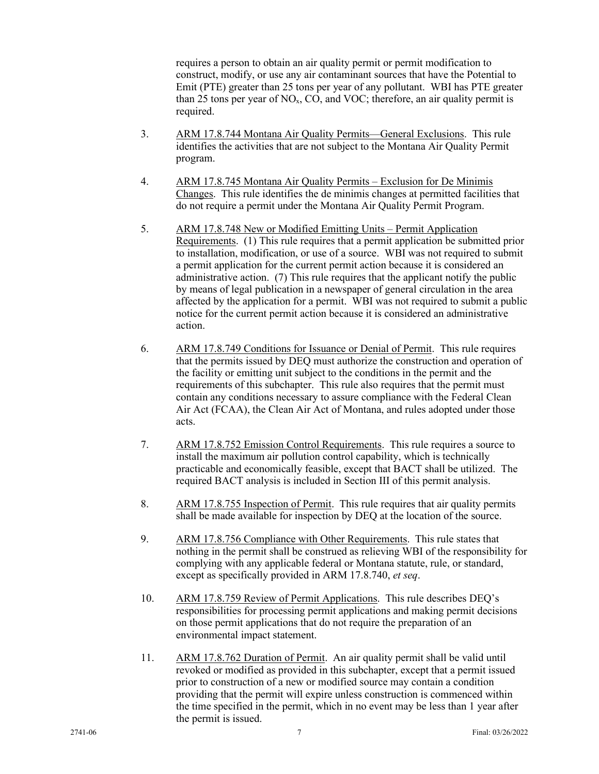requires a person to obtain an air quality permit or permit modification to construct, modify, or use any air contaminant sources that have the Potential to Emit (PTE) greater than 25 tons per year of any pollutant. WBI has PTE greater than 25 tons per year of  $NO<sub>x</sub>$ , CO, and VOC; therefore, an air quality permit is required.

- 3. ARM 17.8.744 Montana Air Quality Permits—General Exclusions. This rule identifies the activities that are not subject to the Montana Air Quality Permit program.
- 4. ARM 17.8.745 Montana Air Quality Permits Exclusion for De Minimis Changes. This rule identifies the de minimis changes at permitted facilities that do not require a permit under the Montana Air Quality Permit Program.
- 5. ARM 17.8.748 New or Modified Emitting Units Permit Application Requirements. (1) This rule requires that a permit application be submitted prior to installation, modification, or use of a source. WBI was not required to submit a permit application for the current permit action because it is considered an administrative action. (7) This rule requires that the applicant notify the public by means of legal publication in a newspaper of general circulation in the area affected by the application for a permit. WBI was not required to submit a public notice for the current permit action because it is considered an administrative action.
- 6. ARM 17.8.749 Conditions for Issuance or Denial of Permit. This rule requires that the permits issued by DEQ must authorize the construction and operation of the facility or emitting unit subject to the conditions in the permit and the requirements of this subchapter. This rule also requires that the permit must contain any conditions necessary to assure compliance with the Federal Clean Air Act (FCAA), the Clean Air Act of Montana, and rules adopted under those acts.
- 7. ARM 17.8.752 Emission Control Requirements. This rule requires a source to install the maximum air pollution control capability, which is technically practicable and economically feasible, except that BACT shall be utilized. The required BACT analysis is included in Section III of this permit analysis.
- 8. ARM 17.8.755 Inspection of Permit. This rule requires that air quality permits shall be made available for inspection by DEQ at the location of the source.
- 9. ARM 17.8.756 Compliance with Other Requirements. This rule states that nothing in the permit shall be construed as relieving WBI of the responsibility for complying with any applicable federal or Montana statute, rule, or standard, except as specifically provided in ARM 17.8.740, *et seq*.
- 10. ARM 17.8.759 Review of Permit Applications. This rule describes DEQ's responsibilities for processing permit applications and making permit decisions on those permit applications that do not require the preparation of an environmental impact statement.
- 11. ARM 17.8.762 Duration of Permit. An air quality permit shall be valid until revoked or modified as provided in this subchapter, except that a permit issued prior to construction of a new or modified source may contain a condition providing that the permit will expire unless construction is commenced within the time specified in the permit, which in no event may be less than 1 year after the permit is issued.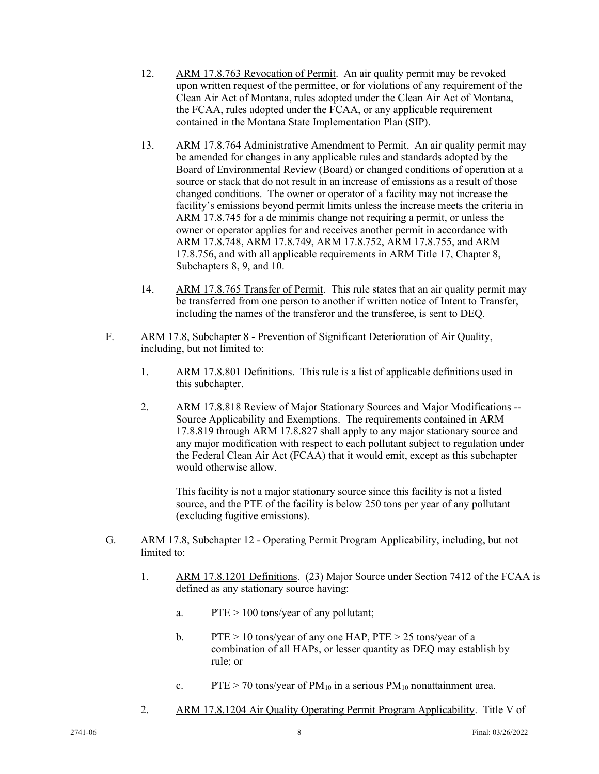- 12. ARM 17.8.763 Revocation of Permit. An air quality permit may be revoked upon written request of the permittee, or for violations of any requirement of the Clean Air Act of Montana, rules adopted under the Clean Air Act of Montana, the FCAA, rules adopted under the FCAA, or any applicable requirement contained in the Montana State Implementation Plan (SIP).
- 13. ARM 17.8.764 Administrative Amendment to Permit. An air quality permit may be amended for changes in any applicable rules and standards adopted by the Board of Environmental Review (Board) or changed conditions of operation at a source or stack that do not result in an increase of emissions as a result of those changed conditions. The owner or operator of a facility may not increase the facility's emissions beyond permit limits unless the increase meets the criteria in ARM 17.8.745 for a de minimis change not requiring a permit, or unless the owner or operator applies for and receives another permit in accordance with ARM 17.8.748, ARM 17.8.749, ARM 17.8.752, ARM 17.8.755, and ARM 17.8.756, and with all applicable requirements in ARM Title 17, Chapter 8, Subchapters 8, 9, and 10.
- 14. ARM 17.8.765 Transfer of Permit. This rule states that an air quality permit may be transferred from one person to another if written notice of Intent to Transfer, including the names of the transferor and the transferee, is sent to DEQ.
- F. ARM 17.8, Subchapter 8 Prevention of Significant Deterioration of Air Quality, including, but not limited to:
	- 1. ARM 17.8.801 Definitions. This rule is a list of applicable definitions used in this subchapter.
	- 2. ARM 17.8.818 Review of Major Stationary Sources and Major Modifications -- Source Applicability and Exemptions. The requirements contained in ARM 17.8.819 through ARM 17.8.827 shall apply to any major stationary source and any major modification with respect to each pollutant subject to regulation under the Federal Clean Air Act (FCAA) that it would emit, except as this subchapter would otherwise allow.

This facility is not a major stationary source since this facility is not a listed source, and the PTE of the facility is below 250 tons per year of any pollutant (excluding fugitive emissions).

- G. ARM 17.8, Subchapter 12 Operating Permit Program Applicability, including, but not limited to:
	- 1. ARM 17.8.1201 Definitions. (23) Major Source under Section 7412 of the FCAA is defined as any stationary source having:
		- a. PTE > 100 tons/year of any pollutant;
		- b. PTE  $> 10$  tons/year of any one HAP, PTE  $> 25$  tons/year of a combination of all HAPs, or lesser quantity as DEQ may establish by rule; or
		- c. PTE > 70 tons/year of  $PM_{10}$  in a serious  $PM_{10}$  nonattainment area.
	- 2. ARM 17.8.1204 Air Quality Operating Permit Program Applicability. Title V of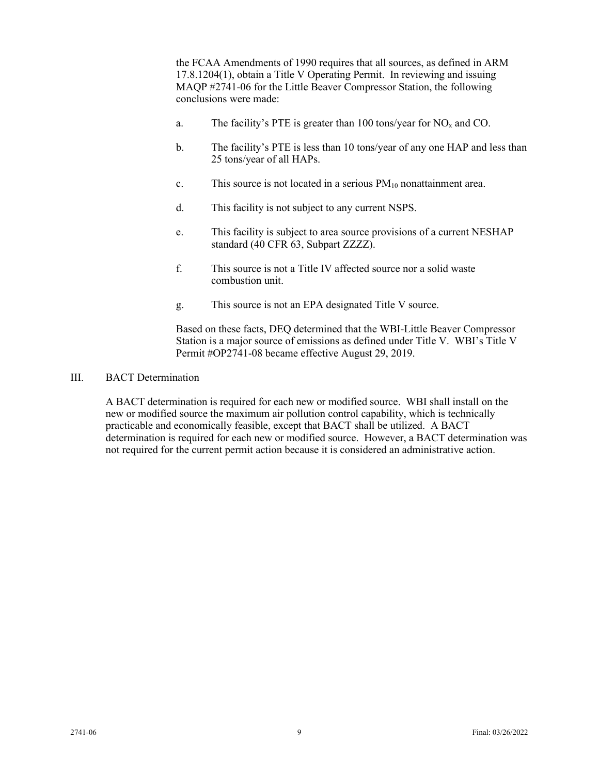the FCAA Amendments of 1990 requires that all sources, as defined in ARM 17.8.1204(1), obtain a Title V Operating Permit. In reviewing and issuing MAQP #2741-06 for the Little Beaver Compressor Station, the following conclusions were made:

- a. The facility's PTE is greater than 100 tons/year for  $NO<sub>x</sub>$  and CO.
- b. The facility's PTE is less than 10 tons/year of any one HAP and less than 25 tons/year of all HAPs.
- c. This source is not located in a serious  $PM_{10}$  nonattainment area.
- d. This facility is not subject to any current NSPS.
- e. This facility is subject to area source provisions of a current NESHAP standard (40 CFR 63, Subpart ZZZZ).
- f. This source is not a Title IV affected source nor a solid waste combustion unit.
- g. This source is not an EPA designated Title V source.

Based on these facts, DEQ determined that the WBI-Little Beaver Compressor Station is a major source of emissions as defined under Title V. WBI's Title V Permit #OP2741-08 became effective August 29, 2019.

### III. BACT Determination

A BACT determination is required for each new or modified source. WBI shall install on the new or modified source the maximum air pollution control capability, which is technically practicable and economically feasible, except that BACT shall be utilized. A BACT determination is required for each new or modified source. However, a BACT determination was not required for the current permit action because it is considered an administrative action.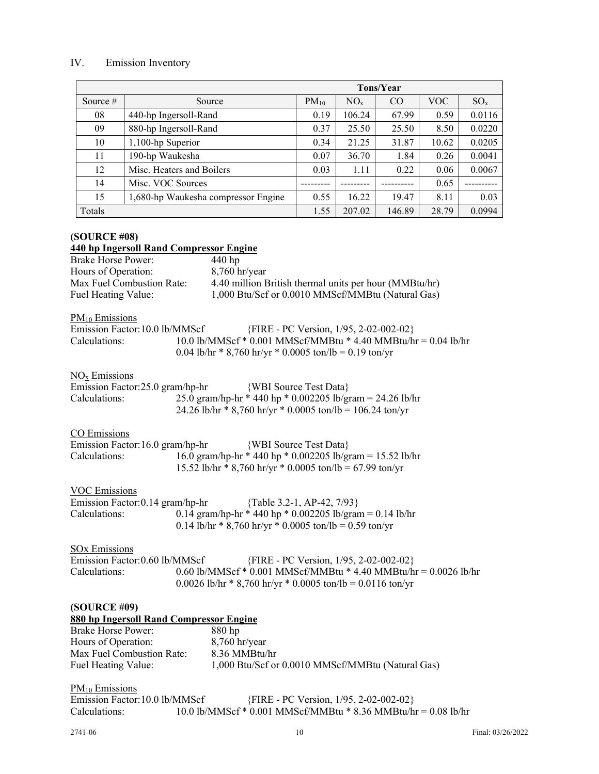# IV. Emission Inventory

|            |                                     |           |          | <b>Tons/Year</b> |            |          |
|------------|-------------------------------------|-----------|----------|------------------|------------|----------|
| Source $#$ | Source                              | $PM_{10}$ | $NO_{x}$ | CO               | <b>VOC</b> | $SO_{x}$ |
| 08         | 440-hp Ingersoll-Rand               | 0.19      | 106.24   | 67.99            | 0.59       | 0.0116   |
| 09         | 880-hp Ingersoll-Rand               | 0.37      | 25.50    | 25.50            | 8.50       | 0.0220   |
| 10         | 1,100-hp Superior                   | 0.34      | 21.25    | 31.87            | 10.62      | 0.0205   |
| 11         | 190-hp Waukesha                     | 0.07      | 36.70    | 1.84             | 0.26       | 0.0041   |
| 12         | Misc. Heaters and Boilers           | 0.03      | 1.11     | 0.22             | 0.06       | 0.0067   |
| 14         | Misc. VOC Sources                   |           |          |                  | 0.65       |          |
| 15         | 1,680-hp Waukesha compressor Engine | 0.55      | 16.22    | 19.47            | 8.11       | 0.03     |
| Totals     |                                     | 1.55      | 207.02   | 146.89           | 28.79      | 0.0994   |

# **(SOURCE #08) 440 hp Ingersoll Rand Compressor Engine**

| Brake Horse Power:        | $440$ hp                                               |
|---------------------------|--------------------------------------------------------|
| Hours of Operation:       | $8,760$ hr/year                                        |
| Max Fuel Combustion Rate: | 4.40 million British thermal units per hour (MMBtu/hr) |
| Fuel Heating Value:       | 1,000 Btu/Scf or 0.0010 MMScf/MMBtu (Natural Gas)      |

| $PM_{10}$ Emissions |  |
|---------------------|--|
|                     |  |

| Emission Factor: 10.0 lb/MMScf | $\{FIRE - PC Version, 1/95, 2-02-002-02\}$                     |
|--------------------------------|----------------------------------------------------------------|
| Calculations:                  | 10.0 lb/MMScf * 0.001 MMScf/MMBtu * 4.40 MMBtu/hr = 0.04 lb/hr |
|                                | 0.04 lb/hr * 8,760 hr/yr * 0.0005 ton/lb = 0.19 ton/yr         |

# NOx Emissions

| Emission Factor:25.0 gram/hp-hr | {WBI Source Test Data}                                    |
|---------------------------------|-----------------------------------------------------------|
| Calculations:                   | 25.0 gram/hp-hr * 440 hp * 0.002205 lb/gram = 24.26 lb/hr |
|                                 | 24.26 lb/hr * 8,760 hr/yr * 0.0005 ton/lb = 106.24 ton/yr |

# CO Emissions

| Emission Factor: 16.0 gram/hp-hr | {WBI Source Test Data}                                    |
|----------------------------------|-----------------------------------------------------------|
| Calculations:                    | 16.0 gram/hp-hr * 440 hp * 0.002205 lb/gram = 15.52 lb/hr |
|                                  | 15.52 lb/hr * 8,760 hr/yr * 0.0005 ton/lb = 67.99 ton/yr  |

# VOC Emissions

| Emission Factor: 0.14 gram/hp-hr | {Table 3.2-1, AP-42, $7/93$ }                            |
|----------------------------------|----------------------------------------------------------|
| Calculations:                    | 0.14 gram/hp-hr * 440 hp * 0.002205 lb/gram = 0.14 lb/hr |
|                                  | 0.14 lb/hr * 8,760 hr/yr * 0.0005 ton/lb = 0.59 ton/yr   |

### SOx Emissions

| Emission Factor: 0.60 lb/MMScf | {FIRE - PC Version, 1/95, 2-02-002-02}                           |
|--------------------------------|------------------------------------------------------------------|
| Calculations:                  | 0.60 lb/MMScf * 0.001 MMScf/MMBtu * 4.40 MMBtu/hr = 0.0026 lb/hr |
|                                | $0.0026$ lb/hr * 8,760 hr/yr * 0.0005 ton/lb = 0.0116 ton/yr     |

# **(SOURCE #09)**

| 880 hp Ingersoll Rand Compressor Engine |                                                   |  |
|-----------------------------------------|---------------------------------------------------|--|
| <b>Brake Horse Power:</b>               | $880$ hp                                          |  |
| Hours of Operation:                     | $8,760$ hr/year                                   |  |
| Max Fuel Combustion Rate:               | 8.36 MMBtu/hr                                     |  |
| Fuel Heating Value:                     | 1,000 Btu/Scf or 0.0010 MMScf/MMBtu (Natural Gas) |  |

| $PM_{10}$ Emissions            |                                            |                                                                |
|--------------------------------|--------------------------------------------|----------------------------------------------------------------|
| Emission Factor: 10.0 lb/MMScf | $\{FIRE - PC Version, 1/95, 2-02-002-02\}$ |                                                                |
| Calculations:                  |                                            | 10.0 lb/MMScf * 0.001 MMScf/MMBtu * 8.36 MMBtu/hr = 0.08 lb/hr |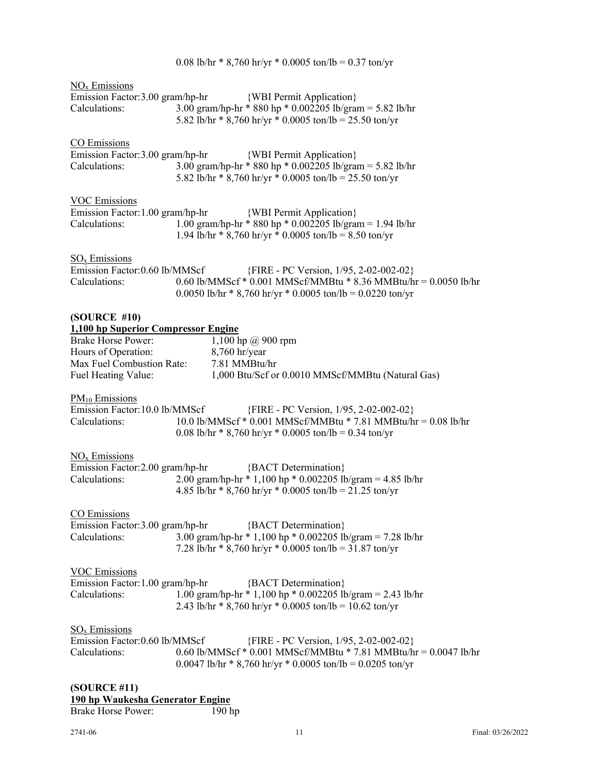|                                                                                                                                                             | 0.08 lb/hr * 8,760 hr/yr * 0.0005 ton/lb = 0.37 ton/yr                                                                                                                              |
|-------------------------------------------------------------------------------------------------------------------------------------------------------------|-------------------------------------------------------------------------------------------------------------------------------------------------------------------------------------|
| $\overline{NO_x}$ Emissions<br>Calculations:                                                                                                                | Emission Factor:3.00 gram/hp-hr {WBI Permit Application}<br>3.00 gram/hp-hr * 880 hp * 0.002205 lb/gram = 5.82 lb/hr<br>5.82 lb/hr $*$ 8,760 hr/yr $*$ 0.0005 ton/lb = 25.50 ton/yr |
| CO Emissions<br>Calculations:                                                                                                                               | Emission Factor:3.00 gram/hp-hr    {WBI Permit Application}<br>3.00 gram/hp-hr * 880 hp * 0.002205 lb/gram = 5.82 lb/hr<br>5.82 lb/hr * 8,760 hr/yr * 0.0005 ton/lb = 25.50 ton/yr  |
| <b>VOC Emissions</b>                                                                                                                                        | {WBI Permit Application}                                                                                                                                                            |
| Emission Factor: 1.00 gram/hp-hr                                                                                                                            | 1.00 gram/hp-hr * 880 hp * 0.002205 lb/gram = 1.94 lb/hr                                                                                                                            |
| Calculations:                                                                                                                                               | 1.94 lb/hr * 8,760 hr/yr * 0.0005 ton/lb = 8.50 ton/yr                                                                                                                              |
| $SOx$ Emissions                                                                                                                                             | {FIRE - PC Version, 1/95, 2-02-002-02}                                                                                                                                              |
| Emission Factor: 0.60 lb/MMScf                                                                                                                              | 0.60 lb/MMScf * 0.001 MMScf/MMBtu * 8.36 MMBtu/hr = 0.0050 lb/hr                                                                                                                    |
| Calculations:                                                                                                                                               | 0.0050 lb/hr * 8,760 hr/yr * 0.0005 ton/lb = 0.0220 ton/yr                                                                                                                          |
| (SOURCE #10)<br>1,100 hp Superior Compressor Engine<br><b>Brake Horse Power:</b><br>Hours of Operation:<br>Max Fuel Combustion Rate:<br>Fuel Heating Value: | 1,100 hp @ 900 rpm<br>8,760 hr/year<br>7.81 MMBtu/hr<br>1,000 Btu/Scf or 0.0010 MMScf/MMBtu (Natural Gas)                                                                           |
| $\underline{PM}_{10}$ Emissions                                                                                                                             | {FIRE - PC Version, 1/95, 2-02-002-02}                                                                                                                                              |
| Emission Factor: 10.0 lb/MMScf                                                                                                                              | 10.0 lb/MMScf * 0.001 MMScf/MMBtu * 7.81 MMBtu/hr = 0.08 lb/hr                                                                                                                      |
| Calculations:                                                                                                                                               | 0.08 lb/hr * 8,760 hr/yr * 0.0005 ton/lb = 0.34 ton/yr                                                                                                                              |
| $NOx$ Emissions                                                                                                                                             | {BACT Determination}                                                                                                                                                                |
| Emission Factor: 2.00 gram/hp-hr                                                                                                                            | 2.00 gram/hp-hr * 1,100 hp * 0.002205 lb/gram = 4.85 lb/hr                                                                                                                          |
| Calculations:                                                                                                                                               | 4.85 lb/hr * 8,760 hr/yr * 0.0005 ton/lb = 21.25 ton/yr                                                                                                                             |
| CO Emissions<br>Calculations:                                                                                                                               | Emission Factor: 3.00 gram/hp-hr {BACT Determination}<br>3.00 gram/hp-hr * 1,100 hp * 0.002205 lb/gram = 7.28 lb/hr<br>7.28 lb/hr $*$ 8,760 hr/yr $*$ 0.0005 ton/lb = 31.87 ton/yr  |
| <b>VOC Emissions</b>                                                                                                                                        | {BACT Determination}                                                                                                                                                                |
| Emission Factor: 1.00 gram/hp-hr                                                                                                                            | 1.00 gram/hp-hr * 1,100 hp * 0.002205 lb/gram = 2.43 lb/hr                                                                                                                          |
| Calculations:                                                                                                                                               | 2.43 lb/hr $*$ 8,760 hr/yr $*$ 0.0005 ton/lb = 10.62 ton/yr                                                                                                                         |
| $\underline{SO_x}$ Emissions                                                                                                                                | {FIRE - PC Version, 1/95, 2-02-002-02}                                                                                                                                              |
| Emission Factor: 0.60 lb/MMScf                                                                                                                              | 0.60 lb/MMScf * 0.001 MMScf/MMBtu * 7.81 MMBtu/hr = 0.0047 lb/hr                                                                                                                    |
| Calculations:                                                                                                                                               | 0.0047 lb/hr * 8,760 hr/yr * 0.0005 ton/lb = 0.0205 ton/yr                                                                                                                          |
| (SOURCE #11)<br>190 hp Waukesha Generator Engine                                                                                                            |                                                                                                                                                                                     |

Brake Horse Power: 190 hp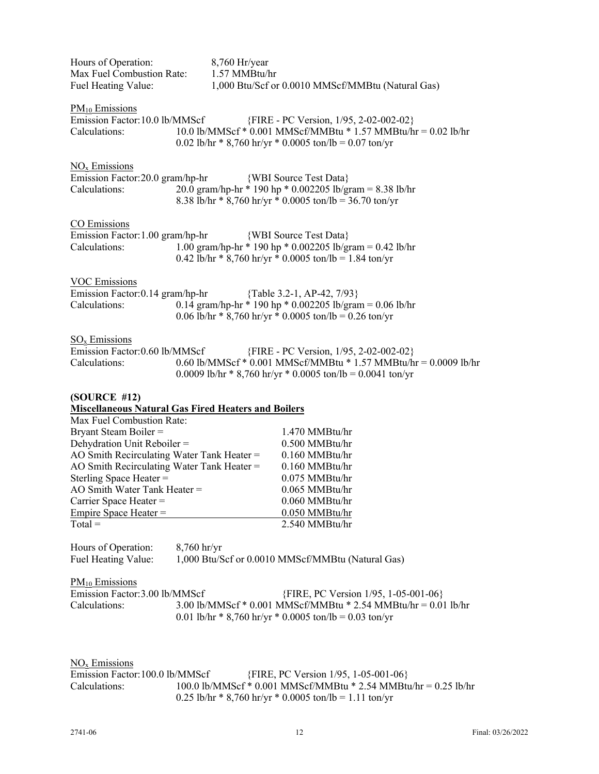| Hours of Operation:<br>Max Fuel Combustion Rate:<br>Fuel Heating Value:            | 8,760 Hr/year<br>1.57 MMBtu/hr<br>1,000 Btu/Scf or 0.0010 MMScf/MMBtu (Natural Gas)                                                                                      |
|------------------------------------------------------------------------------------|--------------------------------------------------------------------------------------------------------------------------------------------------------------------------|
| $\underline{PM}_{10}$ Emissions<br>Emission Factor: 10.0 lb/MMScf<br>Calculations: | {FIRE - PC Version, 1/95, 2-02-002-02}<br>10.0 lb/MMScf * 0.001 MMScf/MMBtu * 1.57 MMBtu/hr = 0.02 lb/hr<br>0.02 lb/hr * 8,760 hr/yr * 0.0005 ton/lb = 0.07 ton/yr       |
| $NOx$ Emissions<br>Emission Factor: 20.0 gram/hp-hr<br>Calculations:               | {WBI Source Test Data}<br>20.0 gram/hp-hr * 190 hp * 0.002205 lb/gram = 8.38 lb/hr<br>8.38 lb/hr * 8,760 hr/yr * 0.0005 ton/lb = 36.70 ton/yr                            |
| CO Emissions<br>Emission Factor: 1.00 gram/hp-hr<br>Calculations:                  | {WBI Source Test Data}<br>1.00 gram/hp-hr * 190 hp * 0.002205 lb/gram = 0.42 lb/hr<br>0.42 lb/hr * 8,760 hr/yr * 0.0005 ton/lb = 1.84 ton/yr                             |
| <b>VOC Emissions</b><br>Emission Factor: 0.14 gram/hp-hr<br>Calculations:          | {Table 3.2-1, AP-42, 7/93}<br>0.14 gram/hp-hr * 190 hp * 0.002205 lb/gram = 0.06 lb/hr<br>0.06 lb/hr * 8,760 hr/yr * 0.0005 ton/lb = 0.26 ton/yr                         |
| $SOx$ Emissions<br>Emission Factor: 0.60 lb/MMScf<br>Calculations:                 | {FIRE - PC Version, 1/95, 2-02-002-02}<br>0.60 lb/MMScf * 0.001 MMScf/MMBtu * 1.57 MMBtu/hr = 0.0009 lb/hr<br>0.0009 lb/hr * 8,760 hr/yr * 0.0005 ton/lb = 0.0041 ton/yr |
| (SOURCE #12)                                                                       |                                                                                                                                                                          |
| <b>Miscellaneous Natural Gas Fired Heaters and Boilers</b>                         |                                                                                                                                                                          |
| Max Fuel Combustion Rate:<br>Bryant Steam Boiler =                                 | 1.470 MMBtu/hr                                                                                                                                                           |
| Dehydration Unit Reboiler =                                                        | 0.500 MMBtu/hr                                                                                                                                                           |
| AO Smith Recirculating Water Tank Heater =                                         | 0.160 MMBtu/hr                                                                                                                                                           |
| AO Smith Recirculating Water Tank Heater =                                         | 0.160 MMBtu/hr                                                                                                                                                           |
| Sterling Space Heater =                                                            | 0.075 MMBtu/hr                                                                                                                                                           |
| AO Smith Water Tank Heater =                                                       | 0.065 MMBtu/hr                                                                                                                                                           |
| Carrier Space Heater $=$                                                           | 0.060 MMBtu/hr                                                                                                                                                           |
| Empire Space Heater =<br>$Total =$                                                 | 0.050 MMBtu/hr<br>2.540 MMBtu/hr                                                                                                                                         |
| Hours of Operation:<br>Fuel Heating Value:                                         | $8,760$ hr/yr<br>1,000 Btu/Scf or 0.0010 MMScf/MMBtu (Natural Gas)                                                                                                       |
| PM <sub>10</sub> Emissions                                                         |                                                                                                                                                                          |
| Emission Factor: 3.00 lb/MMScf<br>Calculations:                                    | {FIRE, PC Version 1/95, 1-05-001-06}<br>3.00 lb/MMScf * 0.001 MMScf/MMBtu * 2.54 MMBtu/hr = 0.01 lb/hr<br>0.01 lb/hr * 8,760 hr/yr * 0.0005 ton/lb = 0.03 ton/yr         |
| $NOx$ Emissions<br>Emission Factor: 100.0 lb/MMScf<br>Calculations:                | {FIRE, PC Version 1/95, 1-05-001-06}<br>100.0 lb/MMScf * 0.001 MMScf/MMBtu * 2.54 MMBtu/hr = 0.25 lb/hr                                                                  |

0.25 lb/hr  $*$  8,760 hr/yr  $*$  0.0005 ton/lb = 1.11 ton/yr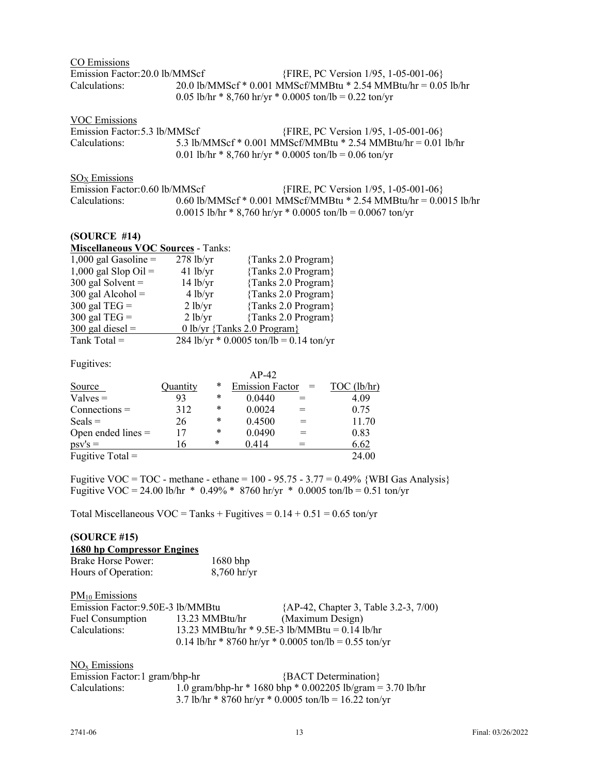| CO Emissions                   |                                                                |
|--------------------------------|----------------------------------------------------------------|
| Emission Factor: 20.0 lb/MMScf | {FIRE, PC Version 1/95, 1-05-001-06}                           |
| Calculations:                  | 20.0 lb/MMScf * 0.001 MMScf/MMBtu * 2.54 MMBtu/hr = 0.05 lb/hr |
|                                | 0.05 lb/hr * 8,760 hr/yr * 0.0005 ton/lb = 0.22 ton/yr         |

| VOC Emissions                 |                                                                                                                         |
|-------------------------------|-------------------------------------------------------------------------------------------------------------------------|
| Emission Factor: 5.3 lb/MMScf | {FIRE, PC Version 1/95, 1-05-001-06}                                                                                    |
| Calculations:                 | 5.3 lb/MMScf * 0.001 MMScf/MMBtu * 2.54 MMBtu/hr = 0.01 lb/hr<br>0.01 lb/hr * 8,760 hr/yr * 0.0005 ton/lb = 0.06 ton/yr |

SO<sub>X</sub> Emissions

| Emission Factor: 0.60 lb/MMScf | {FIRE, PC Version 1/95, 1-05-001-06}                             |  |
|--------------------------------|------------------------------------------------------------------|--|
| Calculations:                  | 0.60 lb/MMScf * 0.001 MMScf/MMBtu * 2.54 MMBtu/hr = 0.0015 lb/hr |  |
|                                | $0.0015$ lb/hr * 8,760 hr/yr * 0.0005 ton/lb = 0.0067 ton/yr     |  |

#### **(SOURCE #14)**

| <b>Miscellaneous VOC Sources - Tanks:</b> |             |                                           |  |  |  |
|-------------------------------------------|-------------|-------------------------------------------|--|--|--|
| 1,000 gal Gasoline $=$                    | $278$ lb/yr | $\{Tanks 2.0 Program\}$                   |  |  |  |
| 1,000 gal Slop Oil $=$                    | $41$ lb/yr  | {Tanks 2.0 Program}                       |  |  |  |
| 300 gal Solvent $=$                       | $14$ lb/yr  | {Tanks 2.0 Program}                       |  |  |  |
| $300$ gal Alcohol =                       | 4 lb/yr     | {Tanks 2.0 Program}                       |  |  |  |
| 300 gal TEG $=$                           | 2 lb/yr     | {Tanks 2.0 Program}                       |  |  |  |
| 300 gal TEG $=$                           | 2 lb/yr     | {Tanks 2.0 Program}                       |  |  |  |
| $300$ gal diesel =                        |             | 0 lb/yr {Tanks 2.0 Program}               |  |  |  |
| Tank Total $=$                            |             | 284 lb/yr $*$ 0.0005 ton/lb = 0.14 ton/yr |  |  |  |

Fugitives:

| 1.44111001           |          |        |                        |     |             |
|----------------------|----------|--------|------------------------|-----|-------------|
|                      |          |        | $AP-42$                |     |             |
| Source               | Quantity | *      | <b>Emission Factor</b> | $=$ | TOC (lb/hr) |
| $Values =$           | 93       | *      | 0.0440                 | $=$ | 4.09        |
| $Connections =$      | 312      | *      | 0.0024                 |     | 0.75        |
| $Seals =$            | 26       | *      | 0.4500                 | $=$ | 11.70       |
| Open ended lines $=$ | 17       | *      | 0.0490                 |     | 0.83        |
| $psv's =$            | 16       | $\ast$ | 0.414                  |     | 6.62        |
| Fugitive Total $=$   |          |        |                        |     | 24.00       |

Fugitive VOC = TOC - methane - ethane =  $100 - 95.75 - 3.77 = 0.49\%$  {WBI Gas Analysis} Fugitive VOC = 24.00 lb/hr \* 0.49% \* 8760 hr/yr \* 0.0005 ton/lb = 0.51 ton/yr

Total Miscellaneous  $VOC = Tanks + Fugitives = 0.14 + 0.51 = 0.65$  ton/yr

# **(SOURCE #15)**

| 1680 hp Compressor Engines |               |
|----------------------------|---------------|
| <b>Brake Horse Power:</b>  | $1680$ bhp    |
| Hours of Operation:        | $8,760$ hr/yr |

| $PM_{10}$ Emissions               |                                                 |                                                       |
|-----------------------------------|-------------------------------------------------|-------------------------------------------------------|
| Emission Factor: 9.50E-3 lb/MMBtu |                                                 | {AP-42, Chapter 3, Table 3.2-3, 7/00)                 |
| Fuel Consumption                  | 13.23 MMBtu/hr                                  | (Maximum Design)                                      |
| Calculations:                     | 13.23 MMBtu/hr $*$ 9.5E-3 lb/MMBtu = 0.14 lb/hr |                                                       |
|                                   |                                                 | 0.14 lb/hr * 8760 hr/yr * 0.0005 ton/lb = 0.55 ton/yr |

### NOx Emissions

| Emission Factor: 1 gram/bhp-hr |                                                       | {BACT Determination}                                       |  |
|--------------------------------|-------------------------------------------------------|------------------------------------------------------------|--|
| Calculations:                  |                                                       | 1.0 gram/bhp-hr * 1680 bhp * 0.002205 lb/gram = 3.70 lb/hr |  |
|                                | 3.7 lb/hr * 8760 hr/yr * 0.0005 ton/lb = 16.22 ton/yr |                                                            |  |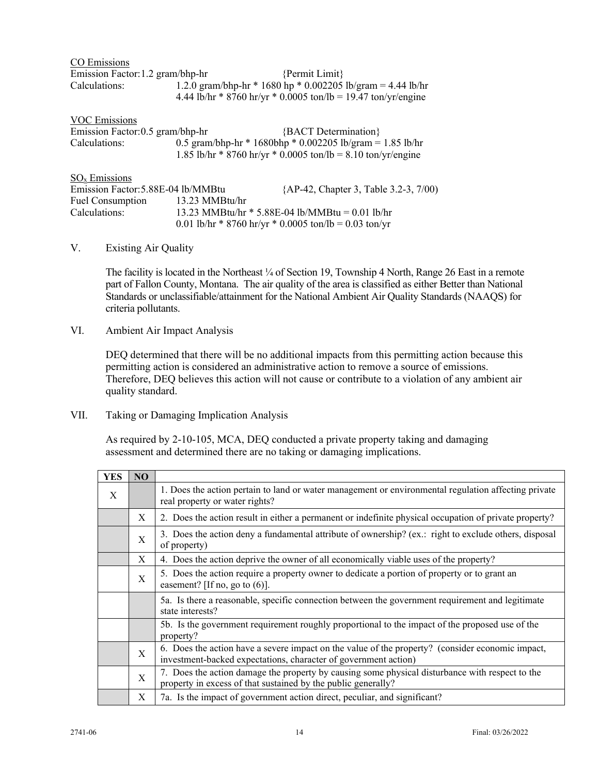| CO Emissions                     |                                                               |  |
|----------------------------------|---------------------------------------------------------------|--|
| Emission Factor: 1.2 gram/bhp-hr | $\{Permit Limit\}$                                            |  |
| Calculations:                    | 1.2.0 gram/bhp-hr * 1680 hp * 0.002205 lb/gram = 4.44 lb/hr   |  |
|                                  | 4.44 lb/hr * 8760 hr/yr * 0.0005 ton/lb = 19.47 ton/yr/engine |  |

| <b>VOC Emissions</b>               |                                                                                                                           |                                                       |  |  |
|------------------------------------|---------------------------------------------------------------------------------------------------------------------------|-------------------------------------------------------|--|--|
| Emission Factor: 0.5 gram/bhp-hr   |                                                                                                                           | {BACT Determination}                                  |  |  |
| Calculations:                      | 0.5 gram/bhp-hr * 1680bhp * 0.002205 lb/gram = 1.85 lb/hr<br>1.85 lb/hr * 8760 hr/yr * 0.0005 ton/lb = 8.10 ton/yr/engine |                                                       |  |  |
| $SO_x$ Emissions                   |                                                                                                                           |                                                       |  |  |
| Emission Factor: 5.88E-04 lb/MMBtu |                                                                                                                           | {AP-42, Chapter 3, Table 3.2-3, 7/00)                 |  |  |
| <b>Fuel Consumption</b>            | 13.23 MMBtu/hr                                                                                                            |                                                       |  |  |
| Calculations:                      | 13.23 MMBtu/hr $*$ 5.88E-04 lb/MMBtu = 0.01 lb/hr                                                                         |                                                       |  |  |
|                                    |                                                                                                                           | 0.01 lb/hr * 8760 hr/yr * 0.0005 ton/lb = 0.03 ton/yr |  |  |

## V. Existing Air Quality

The facility is located in the Northeast ¼ of Section 19, Township 4 North, Range 26 East in a remote part of Fallon County, Montana. The air quality of the area is classified as either Better than National Standards or unclassifiable/attainment for the National Ambient Air Quality Standards (NAAQS) for criteria pollutants.

VI. Ambient Air Impact Analysis

DEQ determined that there will be no additional impacts from this permitting action because this permitting action is considered an administrative action to remove a source of emissions. Therefore, DEQ believes this action will not cause or contribute to a violation of any ambient air quality standard.

VII. Taking or Damaging Implication Analysis

As required by 2-10-105, MCA, DEQ conducted a private property taking and damaging assessment and determined there are no taking or damaging implications.

| <b>YES</b> | NO           |                                                                                                                                                                     |
|------------|--------------|---------------------------------------------------------------------------------------------------------------------------------------------------------------------|
| X          |              | 1. Does the action pertain to land or water management or environmental regulation affecting private<br>real property or water rights?                              |
|            | X            | 2. Does the action result in either a permanent or indefinite physical occupation of private property?                                                              |
|            | X            | 3. Does the action deny a fundamental attribute of ownership? (ex.: right to exclude others, disposal<br>of property)                                               |
|            | X            | 4. Does the action deprive the owner of all economically viable uses of the property?                                                                               |
|            | $\mathbf{X}$ | 5. Does the action require a property owner to dedicate a portion of property or to grant an<br>easement? [If no, go to $(6)$ ].                                    |
|            |              | 5a. Is there a reasonable, specific connection between the government requirement and legitimate<br>state interests?                                                |
|            |              | 5b. Is the government requirement roughly proportional to the impact of the proposed use of the<br>property?                                                        |
|            | X            | 6. Does the action have a severe impact on the value of the property? (consider economic impact,<br>investment-backed expectations, character of government action) |
|            | $\mathbf{X}$ | 7. Does the action damage the property by causing some physical disturbance with respect to the<br>property in excess of that sustained by the public generally?    |
|            | X            | 7a. Is the impact of government action direct, peculiar, and significant?                                                                                           |